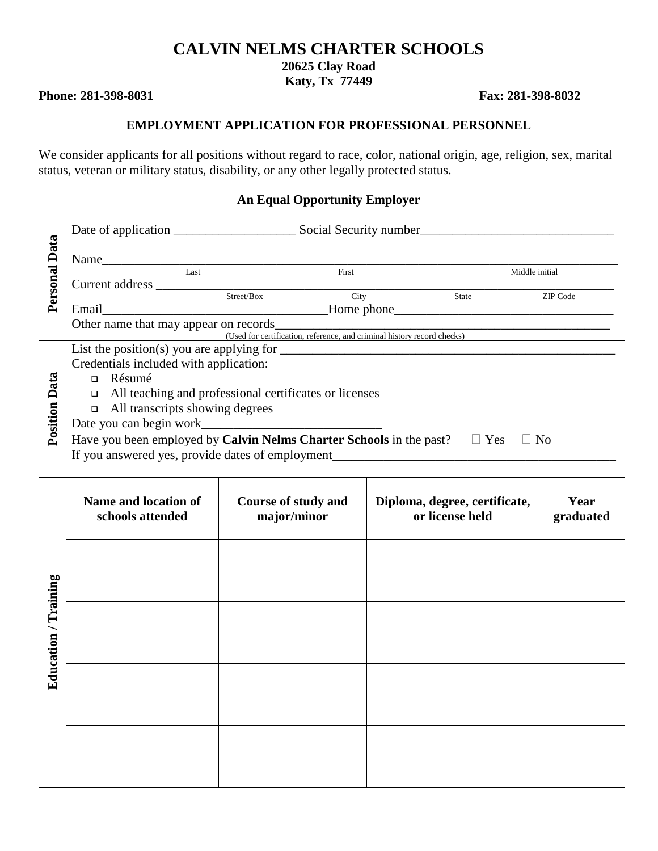# **CALVIN NELMS CHARTER SCHOOLS**

**20625 Clay Road** 

**Katy, Tx 77449** 

**Phone: 281-398-8031** Fax: 281-398-8032

 $\blacksquare$ 

#### **EMPLOYMENT APPLICATION FOR PROFESSIONAL PERSONNEL**

We consider applicants for all positions without regard to race, color, national origin, age, religion, sex, marital status, veteran or military status, disability, or any other legally protected status.

#### **An Equal Opportunity Employer**

| Personal Data        | Name <u> Last</u> <b>Example 18 First Example 18 First Example 18 First Example 18 First Example 18 First Example 18 First Example 18 First Example 18 First Example 18 First Example 18 First Example</b><br>Current address Street/Box City<br>Street/Box City |                                           |                                                  | Middle initial<br>State ZIP Code<br>Other name that may appear on records<br>(Used for certification, reference, and criminal history record checks) |  |  |  |
|----------------------|------------------------------------------------------------------------------------------------------------------------------------------------------------------------------------------------------------------------------------------------------------------|-------------------------------------------|--------------------------------------------------|------------------------------------------------------------------------------------------------------------------------------------------------------|--|--|--|
| <b>Position Data</b> | Credentials included with application:<br>n Résumé<br>$\Box$ All teaching and professional certificates or licenses<br>$\Box$ All transcripts showing degrees<br>Have you been employed by Calvin Nelms Charter Schools in the past? $\square$ Yes $\square$ No  |                                           |                                                  |                                                                                                                                                      |  |  |  |
|                      | Name and location of<br>schools attended                                                                                                                                                                                                                         | <b>Course of study and</b><br>major/minor | Diploma, degree, certificate,<br>or license held | Year<br>graduated                                                                                                                                    |  |  |  |
|                      |                                                                                                                                                                                                                                                                  |                                           |                                                  |                                                                                                                                                      |  |  |  |
| Education / Training |                                                                                                                                                                                                                                                                  |                                           |                                                  |                                                                                                                                                      |  |  |  |
|                      |                                                                                                                                                                                                                                                                  |                                           |                                                  |                                                                                                                                                      |  |  |  |
|                      |                                                                                                                                                                                                                                                                  |                                           |                                                  |                                                                                                                                                      |  |  |  |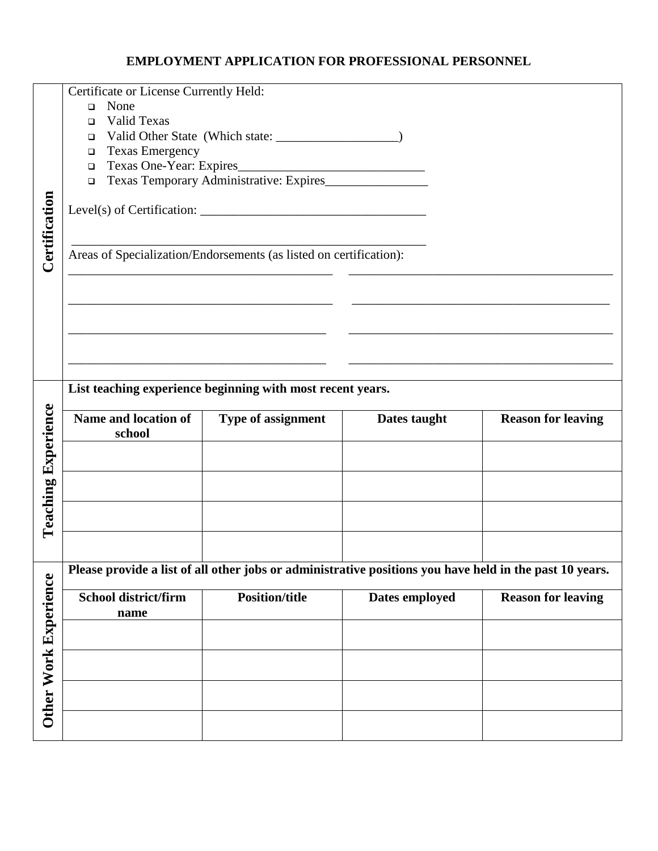#### **EMPLOYMENT APPLICATION FOR PROFESSIONAL PERSONNEL**

|                            | Certificate or License Currently Held:                       |                                                                                                         |                |                           |
|----------------------------|--------------------------------------------------------------|---------------------------------------------------------------------------------------------------------|----------------|---------------------------|
|                            | None<br>$\Box$                                               |                                                                                                         |                |                           |
|                            | Valid Texas<br>$\Box$                                        |                                                                                                         |                |                           |
|                            | $\Box$                                                       |                                                                                                         |                |                           |
|                            | <b>Texas Emergency</b><br>$\Box$<br>Texas One-Year: Expires_ |                                                                                                         |                |                           |
|                            | $\Box$<br>$\Box$                                             |                                                                                                         |                |                           |
|                            |                                                              |                                                                                                         |                |                           |
|                            |                                                              | Level(s) of Certification: $\sqrt{2\pi}$                                                                |                |                           |
|                            |                                                              |                                                                                                         |                |                           |
| Certification              |                                                              | Areas of Specialization/Endorsements (as listed on certification):                                      |                |                           |
|                            |                                                              |                                                                                                         |                |                           |
|                            |                                                              |                                                                                                         |                |                           |
|                            |                                                              |                                                                                                         |                |                           |
|                            |                                                              |                                                                                                         |                |                           |
|                            |                                                              |                                                                                                         |                |                           |
|                            |                                                              |                                                                                                         |                |                           |
|                            |                                                              | List teaching experience beginning with most recent years.                                              |                |                           |
|                            |                                                              |                                                                                                         |                |                           |
|                            |                                                              |                                                                                                         |                |                           |
|                            | Name and location of<br>school                               | Type of assignment                                                                                      | Dates taught   | <b>Reason for leaving</b> |
|                            |                                                              |                                                                                                         |                |                           |
|                            |                                                              |                                                                                                         |                |                           |
|                            |                                                              |                                                                                                         |                |                           |
| <b>Teaching Experience</b> |                                                              |                                                                                                         |                |                           |
|                            |                                                              |                                                                                                         |                |                           |
|                            |                                                              | Please provide a list of all other jobs or administrative positions you have held in the past 10 years. |                |                           |
|                            | <b>School district/firm</b>                                  | <b>Position/title</b>                                                                                   | Dates employed | <b>Reason for leaving</b> |
|                            | name                                                         |                                                                                                         |                |                           |
|                            |                                                              |                                                                                                         |                |                           |
|                            |                                                              |                                                                                                         |                |                           |
|                            |                                                              |                                                                                                         |                |                           |
|                            |                                                              |                                                                                                         |                |                           |
| Other Work Experience      |                                                              |                                                                                                         |                |                           |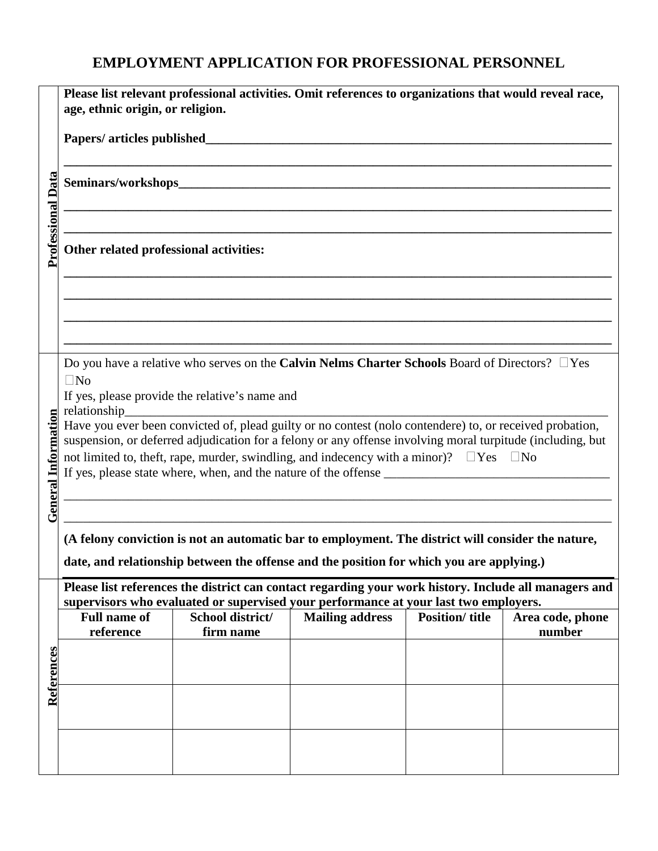# **EMPLOYMENT APPLICATION FOR PROFESSIONAL PERSONNEL**

|                            | Please list relevant professional activities. Omit references to organizations that would reveal race,<br>age, ethnic origin, or religion.                                                    |                                                                                                                          |                        |                       |                            |  |  |
|----------------------------|-----------------------------------------------------------------------------------------------------------------------------------------------------------------------------------------------|--------------------------------------------------------------------------------------------------------------------------|------------------------|-----------------------|----------------------------|--|--|
| <b>Professional Data</b>   | Papers/ articles published                                                                                                                                                                    |                                                                                                                          |                        |                       |                            |  |  |
|                            |                                                                                                                                                                                               |                                                                                                                          |                        |                       |                            |  |  |
|                            |                                                                                                                                                                                               |                                                                                                                          |                        |                       |                            |  |  |
|                            | Other related professional activities:                                                                                                                                                        |                                                                                                                          |                        |                       |                            |  |  |
|                            |                                                                                                                                                                                               |                                                                                                                          |                        |                       |                            |  |  |
|                            |                                                                                                                                                                                               |                                                                                                                          |                        |                       |                            |  |  |
|                            |                                                                                                                                                                                               |                                                                                                                          |                        |                       |                            |  |  |
|                            |                                                                                                                                                                                               | Do you have a relative who serves on the Calvin Nelms Charter Schools Board of Directors? $\Box$ Yes                     |                        |                       |                            |  |  |
|                            | $\square$ No<br>If yes, please provide the relative's name and                                                                                                                                |                                                                                                                          |                        |                       |                            |  |  |
|                            |                                                                                                                                                                                               | relationship<br>Have you ever been convicted of, plead guilty or no contest (nolo contendere) to, or received probation, |                        |                       |                            |  |  |
|                            |                                                                                                                                                                                               | suspension, or deferred adjudication for a felony or any offense involving moral turpitude (including, but               |                        |                       |                            |  |  |
|                            | not limited to, theft, rape, murder, swindling, and indecency with a minor)? $\square$ Yes $\square$ No                                                                                       |                                                                                                                          |                        |                       |                            |  |  |
| <b>General Information</b> |                                                                                                                                                                                               |                                                                                                                          |                        |                       |                            |  |  |
|                            |                                                                                                                                                                                               |                                                                                                                          |                        |                       |                            |  |  |
|                            | (A felony conviction is not an automatic bar to employment. The district will consider the nature,                                                                                            |                                                                                                                          |                        |                       |                            |  |  |
|                            | date, and relationship between the offense and the position for which you are applying.)                                                                                                      |                                                                                                                          |                        |                       |                            |  |  |
|                            | Please list references the district can contact regarding your work history. Include all managers and<br>supervisors who evaluated or supervised your performance at your last two employers. |                                                                                                                          |                        |                       |                            |  |  |
|                            | <b>Full name of</b><br>reference                                                                                                                                                              | School district/<br>firm name                                                                                            | <b>Mailing address</b> | <b>Position/title</b> | Area code, phone<br>number |  |  |
|                            |                                                                                                                                                                                               |                                                                                                                          |                        |                       |                            |  |  |
| References                 |                                                                                                                                                                                               |                                                                                                                          |                        |                       |                            |  |  |
|                            |                                                                                                                                                                                               |                                                                                                                          |                        |                       |                            |  |  |
|                            |                                                                                                                                                                                               |                                                                                                                          |                        |                       |                            |  |  |
|                            |                                                                                                                                                                                               |                                                                                                                          |                        |                       |                            |  |  |
|                            |                                                                                                                                                                                               |                                                                                                                          |                        |                       |                            |  |  |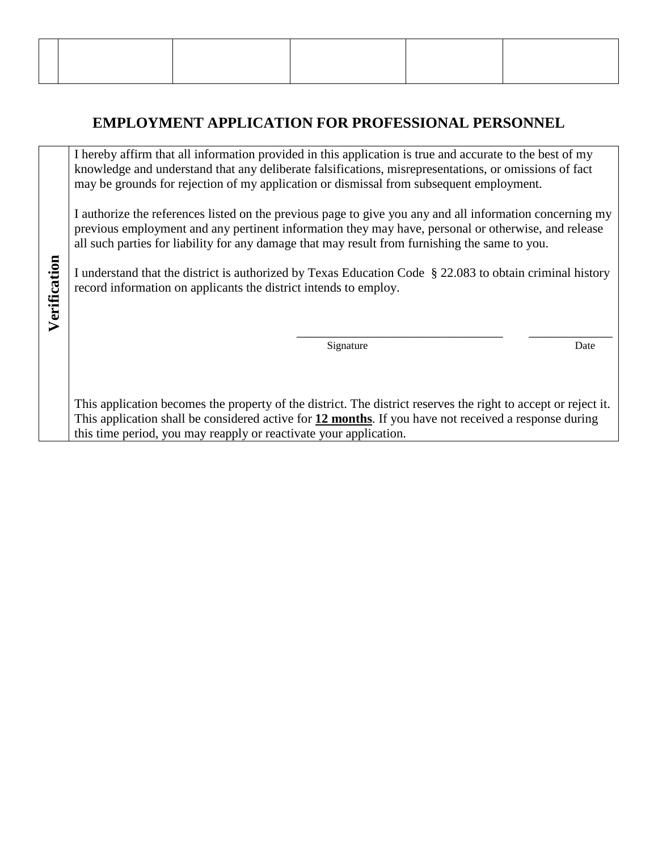# **EMPLOYMENT APPLICATION FOR PROFESSIONAL PERSONNEL**

I hereby affirm that all information provided in this application is true and accurate to the best of my knowledge and understand that any deliberate falsifications, misrepresentations, or omissions of fact may be grounds for rejection of my application or dismissal from subsequent employment.

I authorize the references listed on the previous page to give you any and all information concerning my previous employment and any pertinent information they may have, personal or otherwise, and release all such parties for liability for any damage that may result from furnishing the same to you.

I understand that the district is authorized by Texas Education Code § 22.083 to obtain criminal history record information on applicants the district intends to employ.

**Verification**

Verification

Signature Date Date

 $\overline{\phantom{a}}$  ,  $\overline{\phantom{a}}$  ,  $\overline{\phantom{a}}$  ,  $\overline{\phantom{a}}$  ,  $\overline{\phantom{a}}$  ,  $\overline{\phantom{a}}$  ,  $\overline{\phantom{a}}$  ,  $\overline{\phantom{a}}$  ,  $\overline{\phantom{a}}$  ,  $\overline{\phantom{a}}$  ,  $\overline{\phantom{a}}$  ,  $\overline{\phantom{a}}$  ,  $\overline{\phantom{a}}$  ,  $\overline{\phantom{a}}$  ,  $\overline{\phantom{a}}$  ,  $\overline{\phantom{a}}$ 

This application becomes the property of the district. The district reserves the right to accept or reject it. This application shall be considered active for **12 months**. If you have not received a response during this time period, you may reapply or reactivate your application.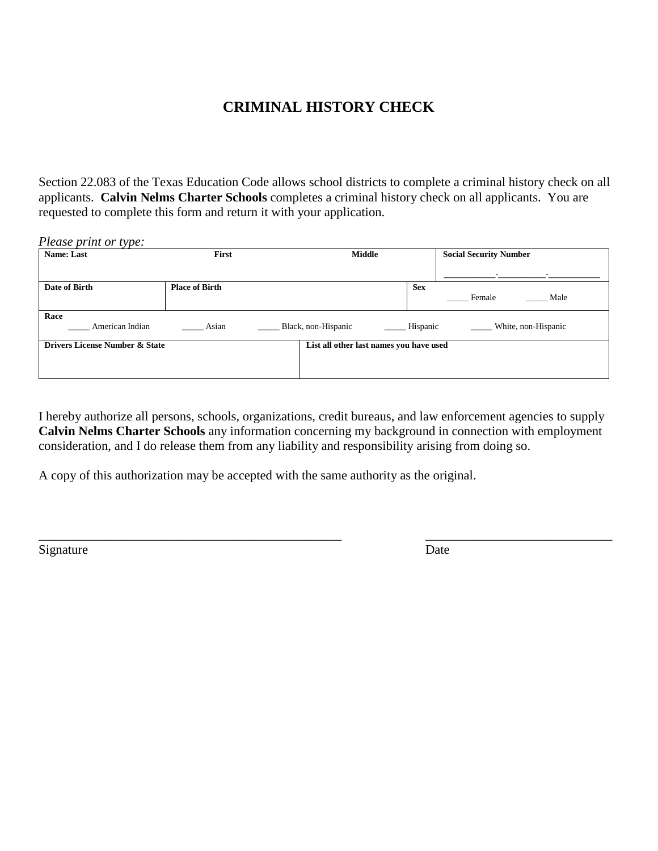### **CRIMINAL HISTORY CHECK**

Section 22.083 of the Texas Education Code allows school districts to complete a criminal history check on all applicants. **Calvin Nelms Charter Schools** completes a criminal history check on all applicants. You are requested to complete this form and return it with your application.

| Please print or type:          |                       |                                         |            |                               |  |  |
|--------------------------------|-----------------------|-----------------------------------------|------------|-------------------------------|--|--|
| Name: Last                     | First                 | <b>Middle</b>                           |            | <b>Social Security Number</b> |  |  |
|                                |                       |                                         |            | $\blacksquare$                |  |  |
| Date of Birth                  | <b>Place of Birth</b> |                                         | <b>Sex</b> |                               |  |  |
|                                |                       |                                         |            | Female<br>Male                |  |  |
| Race                           |                       |                                         |            |                               |  |  |
| American Indian                | Asian                 | Black, non-Hispanic                     | Hispanic   | White, non-Hispanic           |  |  |
| Drivers License Number & State |                       | List all other last names you have used |            |                               |  |  |
|                                |                       |                                         |            |                               |  |  |
|                                |                       |                                         |            |                               |  |  |

I hereby authorize all persons, schools, organizations, credit bureaus, and law enforcement agencies to supply **Calvin Nelms Charter Schools** any information concerning my background in connection with employment consideration, and I do release them from any liability and responsibility arising from doing so.

\_\_\_\_\_\_\_\_\_\_\_\_\_\_\_\_\_\_\_\_\_\_\_\_\_\_\_\_\_\_\_\_\_\_\_\_\_\_\_\_\_\_\_\_\_\_\_ \_\_\_\_\_\_\_\_\_\_\_\_\_\_\_\_\_\_\_\_\_\_\_\_\_\_\_\_\_

A copy of this authorization may be accepted with the same authority as the original.

Signature Date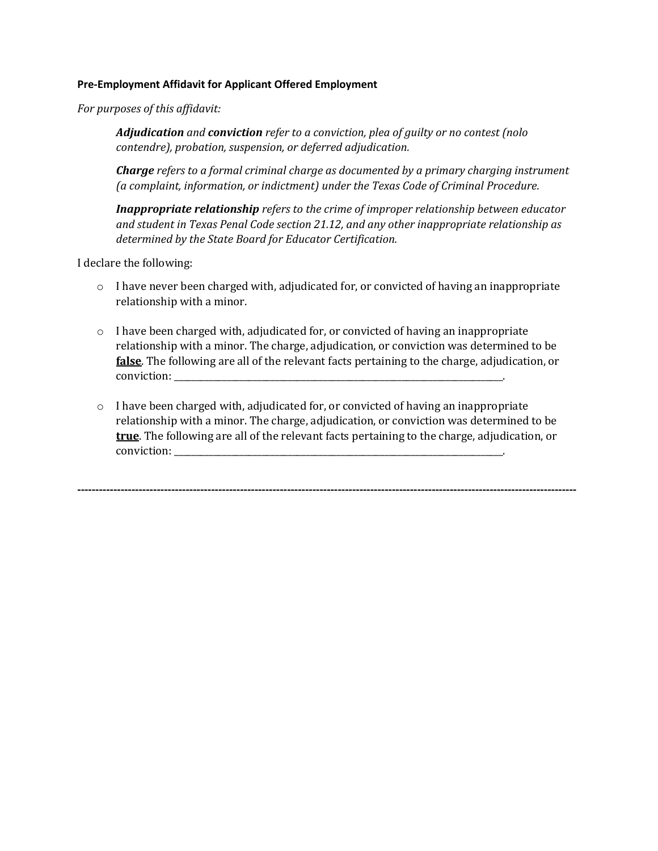#### **Pre-Employment Affidavit for Applicant Offered Employment**

*For purposes of this affidavit:* 

*Adjudication and conviction refer to a conviction, plea of guilty or no contest (nolo contendre), probation, suspension, or deferred adjudication.* 

*Charge refers to a formal criminal charge as documented by a primary charging instrument (a complaint, information, or indictment) under the Texas Code of Criminal Procedure.* 

*Inappropriate relationship refers to the crime of improper relationship between educator and student in Texas Penal Code section 21.12, and any other inappropriate relationship as determined by the State Board for Educator Certification.* 

I declare the following:

- $\circ$  I have never been charged with, adjudicated for, or convicted of having an inappropriate relationship with a minor.
- o I have been charged with, adjudicated for, or convicted of having an inappropriate relationship with a minor. The charge, adjudication, or conviction was determined to be **false**. The following are all of the relevant facts pertaining to the charge, adjudication, or conviction:
- o I have been charged with, adjudicated for, or convicted of having an inappropriate relationship with a minor. The charge, adjudication, or conviction was determined to be **true**. The following are all of the relevant facts pertaining to the charge, adjudication, or conviction:

**------------------------------------------------------------------------------------------------------------------------------------------**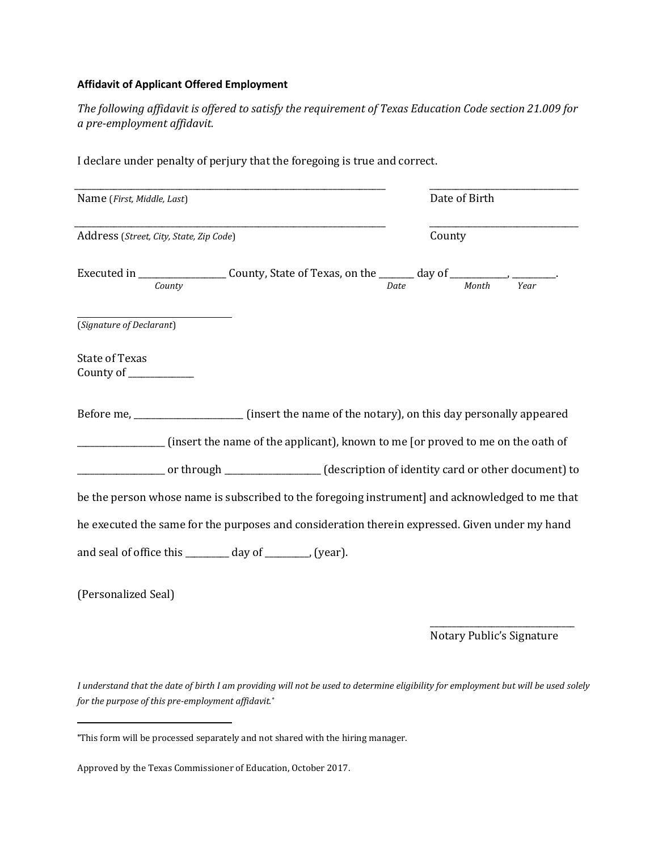#### **Affidavit of Applicant Offered Employment**

*The following affidavit is offered to satisfy the requirement of Texas Education Code section 21.009 for a pre-employment affidavit.*

| Name (First, Middle, Last)                               |                                                                                                                                                                                                           |             | Date of Birth |  |
|----------------------------------------------------------|-----------------------------------------------------------------------------------------------------------------------------------------------------------------------------------------------------------|-------------|---------------|--|
| Address (Street, City, State, Zip Code)                  |                                                                                                                                                                                                           |             | County        |  |
|                                                          |                                                                                                                                                                                                           | <b>Date</b> |               |  |
| (Signature of Declarant)                                 |                                                                                                                                                                                                           |             |               |  |
| <b>State of Texas</b><br>County of ___________           |                                                                                                                                                                                                           |             |               |  |
|                                                          | Before me, ________________________ (insert the name of the notary), on this day personally appeared<br>_________________ (insert the name of the applicant), known to me [or proved to me on the oath of |             |               |  |
|                                                          | or through _____________(description of identity card or other document) to                                                                                                                               |             |               |  |
|                                                          | be the person whose name is subscribed to the foregoing instrument] and acknowledged to me that                                                                                                           |             |               |  |
|                                                          | he executed the same for the purposes and consideration therein expressed. Given under my hand                                                                                                            |             |               |  |
| and seal of office this ________ day of _______, (year). |                                                                                                                                                                                                           |             |               |  |
| (Personalized Seal)                                      |                                                                                                                                                                                                           |             |               |  |

I declare under penalty of perjury that the foregoing is true and correct.

Notary Public's Signature

*I understand that the date of birth I am providing will not be used to determine eligibility for employment but will be used solely for the purpose of this pre-employment affidavit.\**

l

**<sup>\*</sup>**This form will be processed separately and not shared with the hiring manager.

Approved by the Texas Commissioner of Education, October 2017.